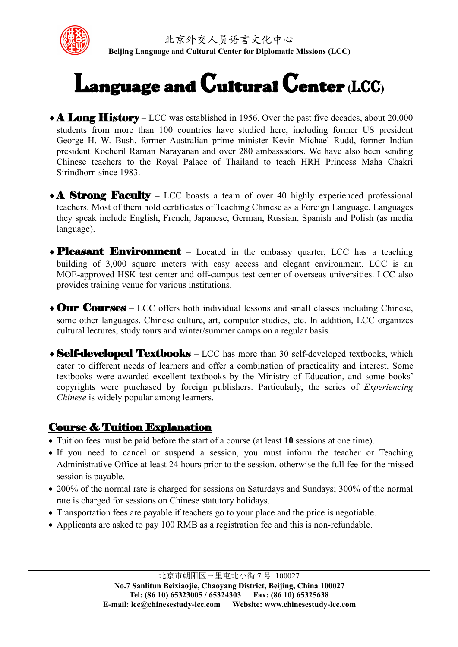

## Language and Cultural Center **(**LCC**)**

- **A Long History** LCC was established in 1956. Over the past five decades, about 20,000 students from more than 100 countries have studied here, including former US president George H. W. Bush, former Australian prime minister Kevin Michael Rudd, former Indian president Kocheril Raman Narayanan and over 280 ambassadors. We have also been sending Chinese teachers to the Royal Palace of Thailand to teach HRH Princess Maha Chakri Sirindhorn since 1983.
- **A Strong Faculty** LCC boasts a team of over 40 highly experienced professional teachers. Most of them hold certificates of Teaching Chinese as a Foreign Language. Languages they speak include English, French, Japanese, German, Russian, Spanish and Polish (as media language).
- **Pleasant Environment** Located in the embassy quarter, LCC has a teaching building of 3,000 square meters with easy access and elegant environment. LCC is an MOE-approved HSK test center and off-campus test center of overseas universities. LCC also provides training venue for various institutions.
- Our Courses **–** LCC offers both individual lessons and small classes including Chinese, some other languages, Chinese culture, art, computer studies, etc. In addition, LCC organizes cultural lectures, study tours and winter/summer camps on a regular basis.
- Self-developed Textbooks **–** LCC has more than 30 self-developed textbooks, which cater to different needs of learners and offer a combination of practicality and interest. Some textbooks were awarded excellent textbooks by the Ministry of Education, and some books' copyrights were purchased by foreign publishers. Particularly, the series of *Experiencing Chinese* is widely popular among learners.

## Course & Tuition Explanation

- Tuition fees must be paid before the start of a course (at least **10** sessions at one time).
- If you need to cancel or suspend a session, you must inform the teacher or Teaching Administrative Office at least 24 hours prior to the session, otherwise the full fee for the missed session is payable.
- 200% of the normal rate is charged for sessions on Saturdays and Sundays; 300% of the normal rate is charged for sessions on Chinese statutory holidays.
- Transportation fees are payable if teachers go to your place and the price is negotiable.
- Applicants are asked to pay 100 RMB as a registration fee and this is non-refundable.